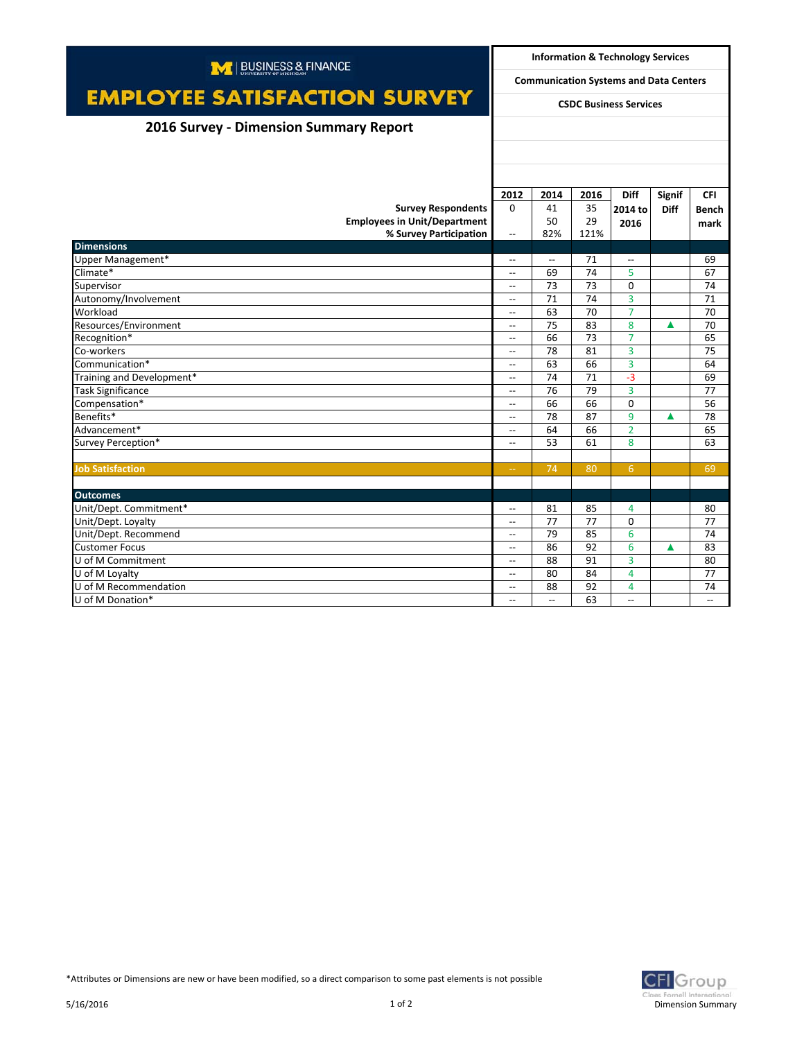| M   BUSINESS & FINANCE                 |                                                     | <b>Information &amp; Technology Services</b> |          |                          |               |                          |  |
|----------------------------------------|-----------------------------------------------------|----------------------------------------------|----------|--------------------------|---------------|--------------------------|--|
|                                        | <b>Communication Systems and Data Centers</b>       |                                              |          |                          |               |                          |  |
| <b>EMPLOYEE SATISFACTION SURVEY</b>    | <b>CSDC Business Services</b>                       |                                              |          |                          |               |                          |  |
| 2016 Survey - Dimension Summary Report |                                                     |                                              |          |                          |               |                          |  |
|                                        |                                                     |                                              |          |                          |               |                          |  |
|                                        |                                                     |                                              |          |                          |               |                          |  |
|                                        |                                                     |                                              |          |                          |               |                          |  |
|                                        | 2012                                                | 2014                                         | 2016     | <b>Diff</b>              | <b>Signif</b> | <b>CFI</b>               |  |
| <b>Survey Respondents</b>              | $\Omega$                                            | 41                                           | 35       | 2014 to                  | <b>Diff</b>   | <b>Bench</b>             |  |
| <b>Employees in Unit/Department</b>    |                                                     | 50                                           | 29       | 2016                     |               | mark                     |  |
| % Survey Participation                 | $\overline{\phantom{a}}$                            | 82%                                          | 121%     |                          |               |                          |  |
| <b>Dimensions</b>                      |                                                     |                                              |          |                          |               |                          |  |
| Upper Management*                      | $\overline{\phantom{a}}$                            | $\overline{\phantom{a}}$                     | 71       | $\overline{\phantom{a}}$ |               | 69                       |  |
| Climate*                               | $\overline{\phantom{a}}$                            | 69                                           | 74       | 5                        |               | 67                       |  |
| Supervisor                             | $\overline{\phantom{0}}$                            | 73                                           | 73       | $\Omega$                 |               | 74                       |  |
| Autonomy/Involvement                   | $\overline{\phantom{a}}$                            | 71                                           | 74       | 3                        |               | 71                       |  |
| Workload                               | $-$                                                 | 63                                           | 70       | $\overline{7}$           |               | 70                       |  |
| Resources/Environment                  | $\hspace{0.05cm} \ldots$                            | 75                                           | 83       | 8                        | ▲             | 70                       |  |
| Recognition*                           | $\overline{a}$                                      | 66                                           | 73       | $\overline{7}$           |               | 65                       |  |
| Co-workers                             | $\hspace{0.05cm} \ldots$                            | 78                                           | 81       | 3                        |               | 75                       |  |
| Communication*                         | $\hspace{0.05cm} -\hspace{0.05cm} -\hspace{0.05cm}$ | 63                                           | 66       | $\overline{3}$           |               | 64                       |  |
| Training and Development*              | $\hspace{0.05cm} \ldots$                            | 74<br>76                                     | 71<br>79 | $-3$<br>$\overline{3}$   |               | 69                       |  |
| <b>Task Significance</b>               | $\overline{\phantom{a}}$                            |                                              |          |                          |               | 77                       |  |
| Compensation*<br>Benefits*             | $\overline{\phantom{a}}$                            | 66<br>78                                     | 66<br>87 | $\mathbf 0$<br>9         |               | 56<br>78                 |  |
| Advancement*                           | $\overline{\phantom{a}}$<br>$\overline{a}$          | 64                                           | 66       | $\overline{2}$           | ▲             | 65                       |  |
|                                        | $\overline{a}$                                      | 53                                           | 61       | 8                        |               |                          |  |
| Survey Perception*                     |                                                     |                                              |          |                          |               | 63                       |  |
| <b>Job Satisfaction</b>                | $\rightarrow$                                       | 74                                           | 80       | 6                        |               | 69                       |  |
|                                        |                                                     |                                              |          |                          |               |                          |  |
| <b>Outcomes</b>                        |                                                     |                                              |          |                          |               |                          |  |
| Unit/Dept. Commitment*                 | $\overline{\phantom{a}}$                            | 81                                           | 85       | $\overline{a}$           |               | 80                       |  |
| Unit/Dept. Loyalty                     | $\overline{\phantom{a}}$                            | 77                                           | 77       | $\mathbf 0$              |               | 77                       |  |
| Unit/Dept. Recommend                   | $\overline{\phantom{a}}$                            | 79                                           | 85       | 6                        |               | 74                       |  |
| <b>Customer Focus</b>                  | $\overline{\phantom{a}}$                            | 86                                           | 92       | 6                        | ▲             | 83                       |  |
| U of M Commitment                      | $\overline{a}$                                      | 88                                           | 91       | $\overline{3}$           |               | 80                       |  |
| U of M Loyalty                         | $\overline{\phantom{a}}$                            | 80                                           | 84       | 4                        |               | 77                       |  |
| U of M Recommendation                  | $\overline{\phantom{a}}$                            | 88                                           | 92       | 4                        |               | 74                       |  |
| U of M Donation*                       | $-$                                                 | $\overline{\phantom{a}}$                     | 63       | $\overline{\phantom{a}}$ |               | $\overline{\phantom{a}}$ |  |